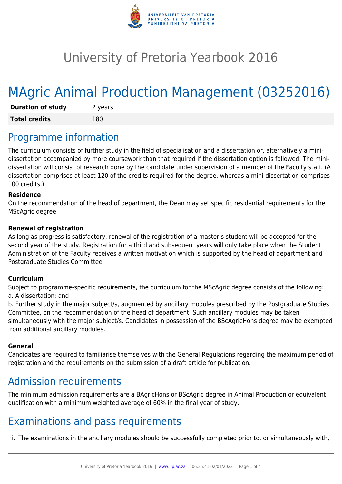

# University of Pretoria Yearbook 2016

# MAgric Animal Production Management (03252016)

| <b>Duration of study</b> | 2 years |
|--------------------------|---------|
| <b>Total credits</b>     | 180     |

## Programme information

The curriculum consists of further study in the field of specialisation and a dissertation or, alternatively a minidissertation accompanied by more coursework than that required if the dissertation option is followed. The minidissertation will consist of research done by the candidate under supervision of a member of the Faculty staff. (A dissertation comprises at least 120 of the credits required for the degree, whereas a mini-dissertation comprises 100 credits.)

#### **Residence**

On the recommendation of the head of department, the Dean may set specific residential requirements for the MScAgric degree.

#### **Renewal of registration**

As long as progress is satisfactory, renewal of the registration of a master's student will be accepted for the second year of the study. Registration for a third and subsequent years will only take place when the Student Administration of the Faculty receives a written motivation which is supported by the head of department and Postgraduate Studies Committee.

#### **Curriculum**

Subject to programme-specific requirements, the curriculum for the MScAgric degree consists of the following: a. A dissertation; and

b. Further study in the major subject/s, augmented by ancillary modules prescribed by the Postgraduate Studies Committee, on the recommendation of the head of department. Such ancillary modules may be taken simultaneously with the major subject/s. Candidates in possession of the BScAgricHons degree may be exempted from additional ancillary modules.

#### **General**

Candidates are required to familiarise themselves with the General Regulations regarding the maximum period of registration and the requirements on the submission of a draft article for publication.

### Admission requirements

The minimum admission requirements are a BAgricHons or BScAgric degree in Animal Production or equivalent qualification with a minimum weighted average of 60% in the final year of study.

### Examinations and pass requirements

i. The examinations in the ancillary modules should be successfully completed prior to, or simultaneously with,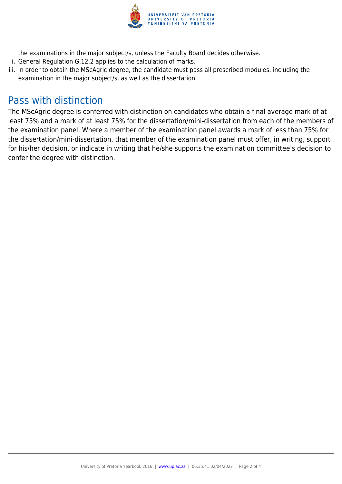

the examinations in the major subject/s, unless the Faculty Board decides otherwise.

- ii. General Regulation G.12.2 applies to the calculation of marks.
- iii. In order to obtain the MScAgric degree, the candidate must pass all prescribed modules, including the examination in the major subject/s, as well as the dissertation.

### Pass with distinction

The MScAgric degree is conferred with distinction on candidates who obtain a final average mark of at least 75% and a mark of at least 75% for the dissertation/mini-dissertation from each of the members of the examination panel. Where a member of the examination panel awards a mark of less than 75% for the dissertation/mini-dissertation, that member of the examination panel must offer, in writing, support for his/her decision, or indicate in writing that he/she supports the examination committee's decision to confer the degree with distinction.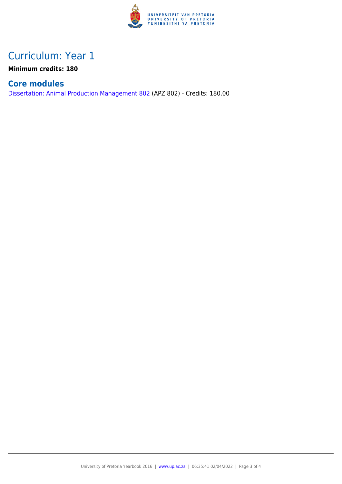

## Curriculum: Year 1

**Minimum credits: 180**

#### **Core modules**

[Dissertation: Animal Production Management 802](https://www.up.ac.za/parents/yearbooks/2016/modules/view/APZ 802) (APZ 802) - Credits: 180.00